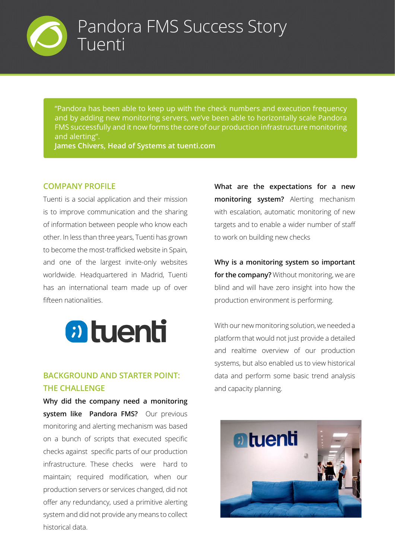

"Pandora has been able to keep up with the check numbers and execution frequency and by adding new monitoring servers, we've been able to horizontally scale Pandora FMS successfully and it now forms the core of our production infrastructure monitoring and alerting".

**James Chivers, Head of Systems at tuenti.com**

### **COMPANY PROFILE**

Tuenti is a social application and their mission is to improve communication and the sharing of information between people who know each other. In less than three years, Tuenti has grown to become the most-trafficked website in Spain, and one of the largest invite-only websites worldwide. Headquartered in Madrid, Tuenti has an international team made up of over fifteen nationalities.



## **BACKGROUND AND STARTER POINT: THE CHALLENGE**

**Why did the company need a monitoring system like Pandora FMS?** Our previous monitoring and alerting mechanism was based on a bunch of scripts that executed specific checks against specific parts of our production infrastructure. These checks were hard to maintain; required modification, when our production servers or services changed, did not offer any redundancy, used a primitive alerting system and did not provide any means to collect historical data.

**What are the expectations for a new monitoring system?** Alerting mechanism with escalation, automatic monitoring of new targets and to enable a wider number of staff to work on building new checks

**Why is a monitoring system so important for the company?** Without monitoring, we are blind and will have zero insight into how the production environment is performing.

With our new monitoring solution, we needed a platform that would not just provide a detailed and realtime overview of our production systems, but also enabled us to view historical data and perform some basic trend analysis and capacity planning.

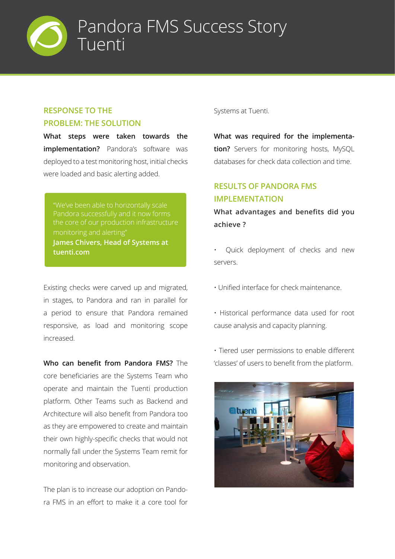

## **RESPONSE TO THE PROBLEM: THE SOLUTION**

**What steps were taken towards the implementation?** Pandora's software was deployed to a test monitoring host, initial checks were loaded and basic alerting added.

monitoring and alerting" **James Chivers, Head of Systems at tuenti.com**

Existing checks were carved up and migrated, in stages, to Pandora and ran in parallel for a period to ensure that Pandora remained responsive, as load and monitoring scope increased.

**Who can benefit from Pandora FMS?** The core beneficiaries are the Systems Team who operate and maintain the Tuenti production platform. Other Teams such as Backend and Architecture will also benefit from Pandora too as they are empowered to create and maintain their own highly-specific checks that would not normally fall under the Systems Team remit for monitoring and observation.

The plan is to increase our adoption on Pandora FMS in an effort to make it a core tool for Systems at Tuenti.

**What was required for the implementation?** Servers for monitoring hosts, MySQL databases for check data collection and time.

# **RESULTS OF PANDORA FMS IMPLEMENTATION**

**What advantages and benefits did you achieve ?**

- Quick deployment of checks and new servers.
- Unified interface for check maintenance.
- Historical performance data used for root cause analysis and capacity planning.
- Tiered user permissions to enable different 'classes' of users to benefit from the platform.